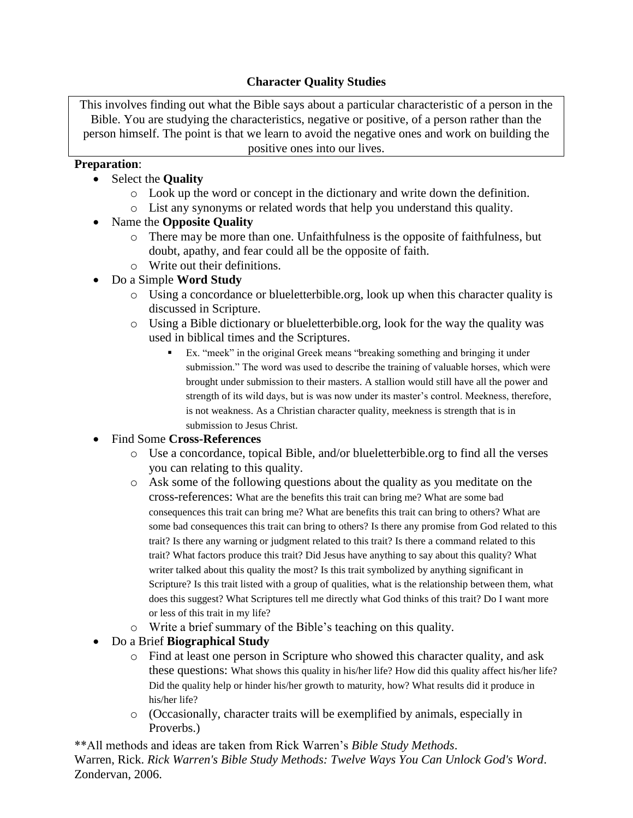# **Character Quality Studies**

This involves finding out what the Bible says about a particular characteristic of a person in the Bible. You are studying the characteristics, negative or positive, of a person rather than the person himself. The point is that we learn to avoid the negative ones and work on building the positive ones into our lives.

#### **Preparation**:

- Select the **Quality**
	- o Look up the word or concept in the dictionary and write down the definition.
	- o List any synonyms or related words that help you understand this quality.
- Name the **Opposite Quality**
	- o There may be more than one. Unfaithfulness is the opposite of faithfulness, but doubt, apathy, and fear could all be the opposite of faith.
	- o Write out their definitions.
- Do a Simple **Word Study**
	- o Using a concordance or blueletterbible.org, look up when this character quality is discussed in Scripture.
	- o Using a Bible dictionary or blueletterbible.org, look for the way the quality was used in biblical times and the Scriptures.
		- Ex. "meek" in the original Greek means "breaking something and bringing it under submission." The word was used to describe the training of valuable horses, which were brought under submission to their masters. A stallion would still have all the power and strength of its wild days, but is was now under its master's control. Meekness, therefore, is not weakness. As a Christian character quality, meekness is strength that is in submission to Jesus Christ.

## • Find Some **Cross-References**

- o Use a concordance, topical Bible, and/or blueletterbible.org to find all the verses you can relating to this quality.
- o Ask some of the following questions about the quality as you meditate on the cross-references: What are the benefits this trait can bring me? What are some bad consequences this trait can bring me? What are benefits this trait can bring to others? What are some bad consequences this trait can bring to others? Is there any promise from God related to this trait? Is there any warning or judgment related to this trait? Is there a command related to this trait? What factors produce this trait? Did Jesus have anything to say about this quality? What writer talked about this quality the most? Is this trait symbolized by anything significant in Scripture? Is this trait listed with a group of qualities, what is the relationship between them, what does this suggest? What Scriptures tell me directly what God thinks of this trait? Do I want more or less of this trait in my life?
- o Write a brief summary of the Bible's teaching on this quality.

## • Do a Brief **Biographical Study**

- o Find at least one person in Scripture who showed this character quality, and ask these questions: What shows this quality in his/her life? How did this quality affect his/her life? Did the quality help or hinder his/her growth to maturity, how? What results did it produce in his/her life?
- o (Occasionally, character traits will be exemplified by animals, especially in Proverbs.)

\*\*All methods and ideas are taken from Rick Warren's *Bible Study Methods*. Warren, Rick. *Rick Warren's Bible Study Methods: Twelve Ways You Can Unlock God's Word*. Zondervan, 2006.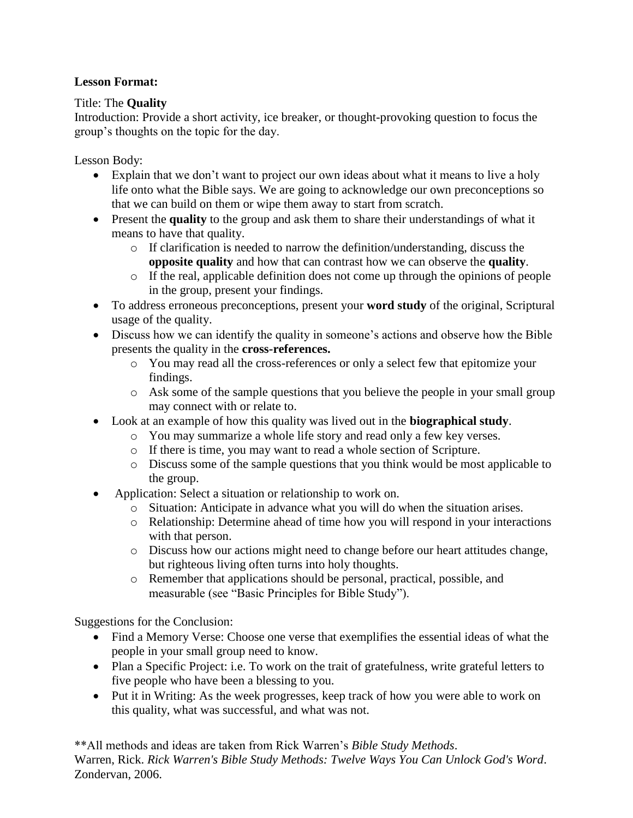## **Lesson Format:**

#### Title: The **Quality**

Introduction: Provide a short activity, ice breaker, or thought-provoking question to focus the group's thoughts on the topic for the day.

Lesson Body:

- Explain that we don't want to project our own ideas about what it means to live a holy life onto what the Bible says. We are going to acknowledge our own preconceptions so that we can build on them or wipe them away to start from scratch.
- Present the **quality** to the group and ask them to share their understandings of what it means to have that quality.
	- $\circ$  If clarification is needed to narrow the definition/understanding, discuss the **opposite quality** and how that can contrast how we can observe the **quality**.
	- o If the real, applicable definition does not come up through the opinions of people in the group, present your findings.
- To address erroneous preconceptions, present your **word study** of the original, Scriptural usage of the quality.
- Discuss how we can identify the quality in someone's actions and observe how the Bible presents the quality in the **cross-references.**
	- o You may read all the cross-references or only a select few that epitomize your findings.
	- o Ask some of the sample questions that you believe the people in your small group may connect with or relate to.
- Look at an example of how this quality was lived out in the **biographical study**.
	- o You may summarize a whole life story and read only a few key verses.
	- o If there is time, you may want to read a whole section of Scripture.
	- o Discuss some of the sample questions that you think would be most applicable to the group.
- Application: Select a situation or relationship to work on.
	- o Situation: Anticipate in advance what you will do when the situation arises.
	- o Relationship: Determine ahead of time how you will respond in your interactions with that person.
	- o Discuss how our actions might need to change before our heart attitudes change, but righteous living often turns into holy thoughts.
	- o Remember that applications should be personal, practical, possible, and measurable (see "Basic Principles for Bible Study").

Suggestions for the Conclusion:

- Find a Memory Verse: Choose one verse that exemplifies the essential ideas of what the people in your small group need to know.
- Plan a Specific Project: i.e. To work on the trait of gratefulness, write grateful letters to five people who have been a blessing to you.
- Put it in Writing: As the week progresses, keep track of how you were able to work on this quality, what was successful, and what was not.

\*\*All methods and ideas are taken from Rick Warren's *Bible Study Methods*. Warren, Rick. *Rick Warren's Bible Study Methods: Twelve Ways You Can Unlock God's Word*. Zondervan, 2006.